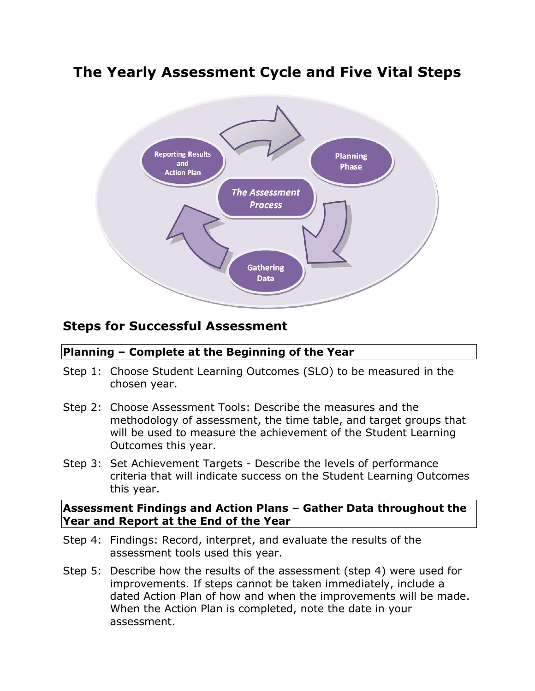## **The Yearly Assessment Cycle and Five Vital Steps**



## **Steps for Successful Assessment**

## **Planning – Complete at the Beginning of the Year**

- Step 1: Choose Student Learning Outcomes (SLO) to be measured in the chosen year.
- Step 2: Choose Assessment Tools: Describe the measures and the methodology of assessment, the time table, and target groups that will be used to measure the achievement of the Student Learning Outcomes this year.
- Step 3: Set Achievement Targets Describe the levels of performance criteria that will indicate success on the Student Learning Outcomes this year.

## **Assessment Findings and Action Plans – Gather Data throughout the Year and Report at the End of the Year**

- Step 4: Findings: Record, interpret, and evaluate the results of the assessment tools used this year.
- Step 5: Describe how the results of the assessment (step 4) were used for improvements. If steps cannot be taken immediately, include a dated Action Plan of how and when the improvements will be made. When the Action Plan is completed, note the date in your assessment.